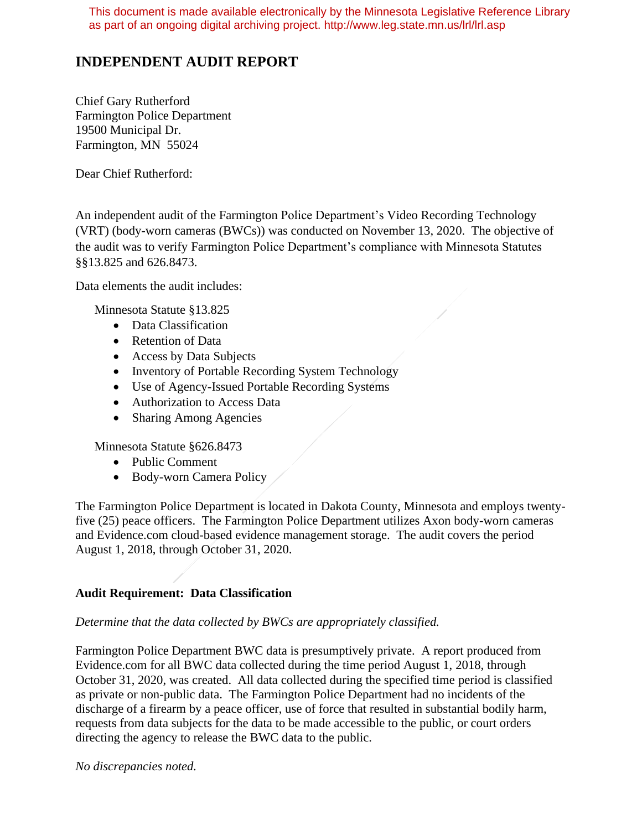This document is made available electronically by the Minnesota Legislative Reference Library as part of an ongoing digital archiving project. http://www.leg.state.mn.us/lrl/lrl.asp

# **INDEPENDENT AUDIT REPORT**

Chief Gary Rutherford Farmington Police Department 19500 Municipal Dr. Farmington, MN 55024

Dear Chief Rutherford:

An independent audit of the Farmington Police Department's Video Recording Technology (VRT) (body-worn cameras (BWCs)) was conducted on November 13, 2020. The objective of the audit was to verify Farmington Police Department's compliance with Minnesota Statutes §§13.825 and 626.8473.

Data elements the audit includes:

Minnesota Statute §13.825

- Data Classification
- Retention of Data
- Access by Data Subjects
- Inventory of Portable Recording System Technology
- Use of Agency-Issued Portable Recording Systems
- Authorization to Access Data
- Sharing Among Agencies

Minnesota Statute §626.8473

- Public Comment
- Body-worn Camera Policy

The Farmington Police Department is located in Dakota County, Minnesota and employs twentyfive (25) peace officers. The Farmington Police Department utilizes Axon body-worn cameras and Evidence.com cloud-based evidence management storage. The audit covers the period August 1, 2018, through October 31, 2020.

# **Audit Requirement: Data Classification**

#### *Determine that the data collected by BWCs are appropriately classified.*

Farmington Police Department BWC data is presumptively private. A report produced from Evidence.com for all BWC data collected during the time period August 1, 2018, through October 31, 2020, was created. All data collected during the specified time period is classified as private or non-public data. The Farmington Police Department had no incidents of the discharge of a firearm by a peace officer, use of force that resulted in substantial bodily harm, requests from data subjects for the data to be made accessible to the public, or court orders directing the agency to release the BWC data to the public.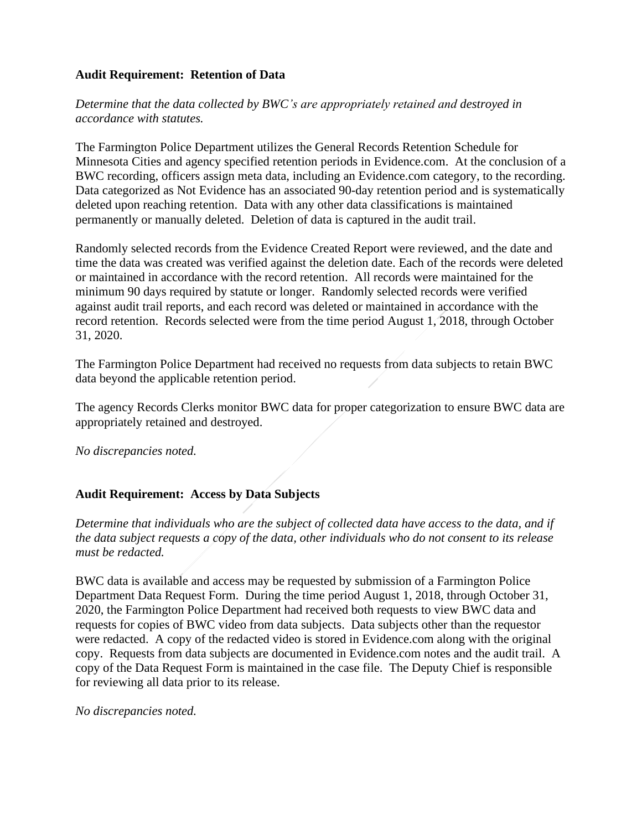## **Audit Requirement: Retention of Data**

*Determine that the data collected by BWC's are appropriately retained and destroyed in accordance with statutes.*

The Farmington Police Department utilizes the General Records Retention Schedule for Minnesota Cities and agency specified retention periods in Evidence.com. At the conclusion of a BWC recording, officers assign meta data, including an Evidence.com category, to the recording. Data categorized as Not Evidence has an associated 90-day retention period and is systematically deleted upon reaching retention. Data with any other data classifications is maintained permanently or manually deleted. Deletion of data is captured in the audit trail.

Randomly selected records from the Evidence Created Report were reviewed, and the date and time the data was created was verified against the deletion date. Each of the records were deleted or maintained in accordance with the record retention. All records were maintained for the minimum 90 days required by statute or longer. Randomly selected records were verified against audit trail reports, and each record was deleted or maintained in accordance with the record retention. Records selected were from the time period August 1, 2018, through October 31, 2020.

The Farmington Police Department had received no requests from data subjects to retain BWC data beyond the applicable retention period.

The agency Records Clerks monitor BWC data for proper categorization to ensure BWC data are appropriately retained and destroyed.

*No discrepancies noted.*

# **Audit Requirement: Access by Data Subjects**

*Determine that individuals who are the subject of collected data have access to the data, and if the data subject requests a copy of the data, other individuals who do not consent to its release must be redacted.*

BWC data is available and access may be requested by submission of a Farmington Police Department Data Request Form. During the time period August 1, 2018, through October 31, 2020, the Farmington Police Department had received both requests to view BWC data and requests for copies of BWC video from data subjects. Data subjects other than the requestor were redacted. A copy of the redacted video is stored in Evidence.com along with the original copy. Requests from data subjects are documented in Evidence.com notes and the audit trail. A copy of the Data Request Form is maintained in the case file. The Deputy Chief is responsible for reviewing all data prior to its release.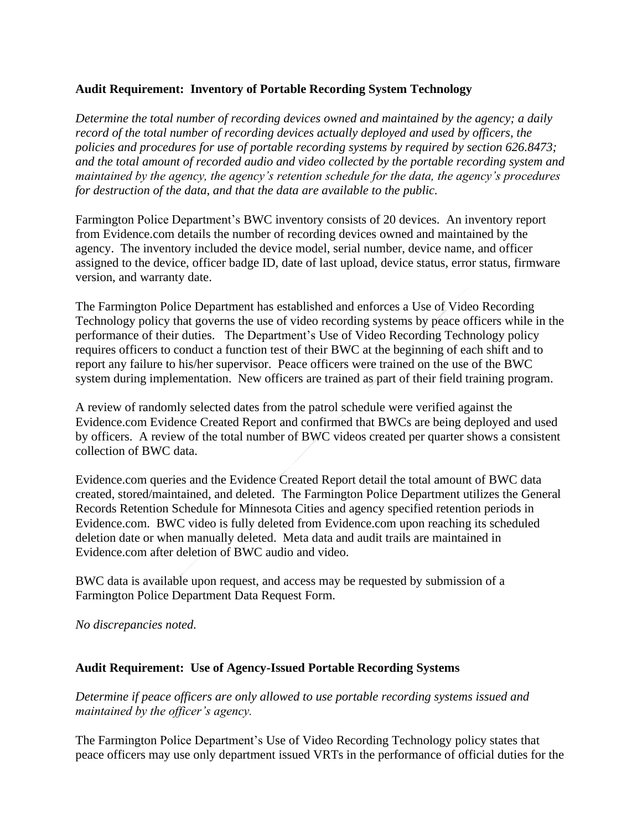# **Audit Requirement: Inventory of Portable Recording System Technology**

*Determine the total number of recording devices owned and maintained by the agency; a daily record of the total number of recording devices actually deployed and used by officers, the policies and procedures for use of portable recording systems by required by section 626.8473; and the total amount of recorded audio and video collected by the portable recording system and maintained by the agency, the agency's retention schedule for the data, the agency's procedures for destruction of the data, and that the data are available to the public.*

Farmington Police Department's BWC inventory consists of 20 devices. An inventory report from Evidence.com details the number of recording devices owned and maintained by the agency. The inventory included the device model, serial number, device name, and officer assigned to the device, officer badge ID, date of last upload, device status, error status, firmware version, and warranty date.

The Farmington Police Department has established and enforces a Use of Video Recording Technology policy that governs the use of video recording systems by peace officers while in the performance of their duties. The Department's Use of Video Recording Technology policy requires officers to conduct a function test of their BWC at the beginning of each shift and to report any failure to his/her supervisor. Peace officers were trained on the use of the BWC system during implementation. New officers are trained as part of their field training program.

A review of randomly selected dates from the patrol schedule were verified against the Evidence.com Evidence Created Report and confirmed that BWCs are being deployed and used by officers. A review of the total number of BWC videos created per quarter shows a consistent collection of BWC data.

Evidence.com queries and the Evidence Created Report detail the total amount of BWC data created, stored/maintained, and deleted. The Farmington Police Department utilizes the General Records Retention Schedule for Minnesota Cities and agency specified retention periods in Evidence.com. BWC video is fully deleted from Evidence.com upon reaching its scheduled deletion date or when manually deleted. Meta data and audit trails are maintained in Evidence.com after deletion of BWC audio and video.

BWC data is available upon request, and access may be requested by submission of a Farmington Police Department Data Request Form.

*No discrepancies noted.*

#### **Audit Requirement: Use of Agency-Issued Portable Recording Systems**

*Determine if peace officers are only allowed to use portable recording systems issued and maintained by the officer's agency.*

The Farmington Police Department's Use of Video Recording Technology policy states that peace officers may use only department issued VRTs in the performance of official duties for the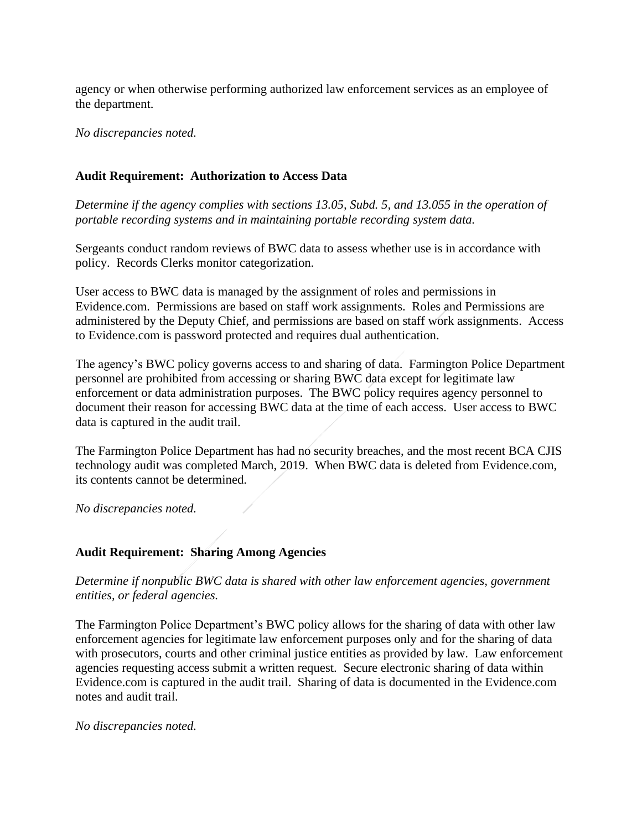agency or when otherwise performing authorized law enforcement services as an employee of the department.

*No discrepancies noted.*

## **Audit Requirement: Authorization to Access Data**

*Determine if the agency complies with sections 13.05, Subd. 5, and 13.055 in the operation of portable recording systems and in maintaining portable recording system data.*

Sergeants conduct random reviews of BWC data to assess whether use is in accordance with policy. Records Clerks monitor categorization.

User access to BWC data is managed by the assignment of roles and permissions in Evidence.com. Permissions are based on staff work assignments. Roles and Permissions are administered by the Deputy Chief, and permissions are based on staff work assignments. Access to Evidence.com is password protected and requires dual authentication.

The agency's BWC policy governs access to and sharing of data. Farmington Police Department personnel are prohibited from accessing or sharing BWC data except for legitimate law enforcement or data administration purposes. The BWC policy requires agency personnel to document their reason for accessing BWC data at the time of each access. User access to BWC data is captured in the audit trail.

The Farmington Police Department has had no security breaches, and the most recent BCA CJIS technology audit was completed March, 2019. When BWC data is deleted from Evidence.com, its contents cannot be determined.

*No discrepancies noted.*

# **Audit Requirement: Sharing Among Agencies**

*Determine if nonpublic BWC data is shared with other law enforcement agencies, government entities, or federal agencies.*

The Farmington Police Department's BWC policy allows for the sharing of data with other law enforcement agencies for legitimate law enforcement purposes only and for the sharing of data with prosecutors, courts and other criminal justice entities as provided by law. Law enforcement agencies requesting access submit a written request. Secure electronic sharing of data within Evidence.com is captured in the audit trail. Sharing of data is documented in the Evidence.com notes and audit trail.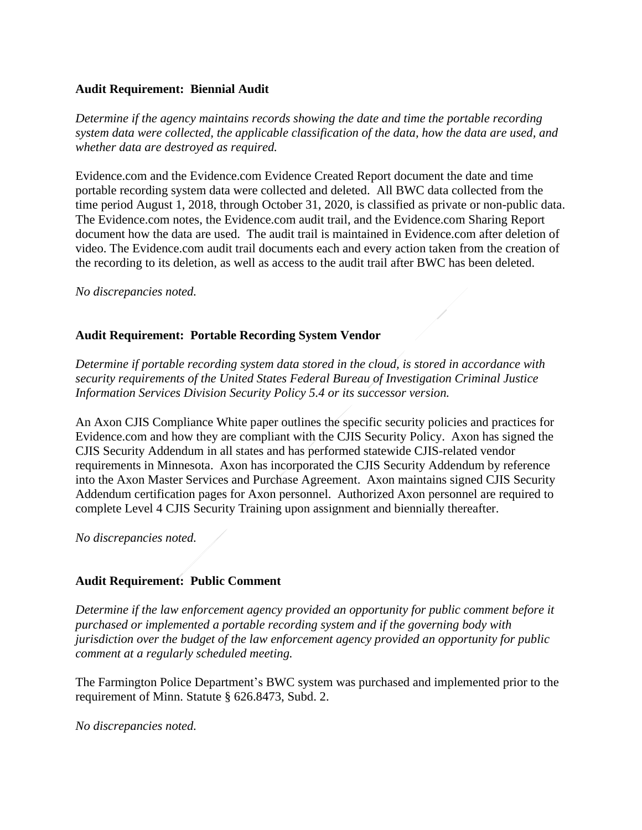## **Audit Requirement: Biennial Audit**

*Determine if the agency maintains records showing the date and time the portable recording system data were collected, the applicable classification of the data, how the data are used, and whether data are destroyed as required.* 

Evidence.com and the Evidence.com Evidence Created Report document the date and time portable recording system data were collected and deleted. All BWC data collected from the time period August 1, 2018, through October 31, 2020, is classified as private or non-public data. The Evidence.com notes, the Evidence.com audit trail, and the Evidence.com Sharing Report document how the data are used. The audit trail is maintained in Evidence.com after deletion of video. The Evidence.com audit trail documents each and every action taken from the creation of the recording to its deletion, as well as access to the audit trail after BWC has been deleted.

*No discrepancies noted.*

# **Audit Requirement: Portable Recording System Vendor**

*Determine if portable recording system data stored in the cloud, is stored in accordance with security requirements of the United States Federal Bureau of Investigation Criminal Justice Information Services Division Security Policy 5.4 or its successor version.*

An Axon CJIS Compliance White paper outlines the specific security policies and practices for Evidence.com and how they are compliant with the CJIS Security Policy. Axon has signed the CJIS Security Addendum in all states and has performed statewide CJIS-related vendor requirements in Minnesota. Axon has incorporated the CJIS Security Addendum by reference into the Axon Master Services and Purchase Agreement. Axon maintains signed CJIS Security Addendum certification pages for Axon personnel. Authorized Axon personnel are required to complete Level 4 CJIS Security Training upon assignment and biennially thereafter.

*No discrepancies noted.*

# **Audit Requirement: Public Comment**

*Determine if the law enforcement agency provided an opportunity for public comment before it purchased or implemented a portable recording system and if the governing body with jurisdiction over the budget of the law enforcement agency provided an opportunity for public comment at a regularly scheduled meeting.* 

The Farmington Police Department's BWC system was purchased and implemented prior to the requirement of Minn. Statute § 626.8473, Subd. 2.